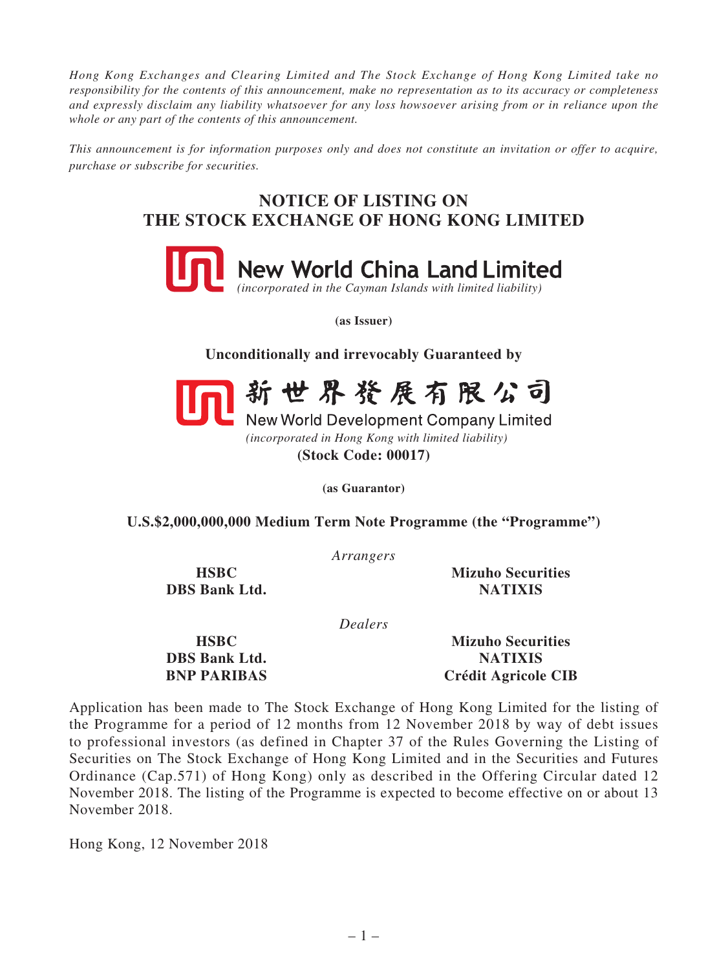*Hong Kong Exchanges and Clearing Limited and The Stock Exchange of Hong Kong Limited take no responsibility for the contents of this announcement, make no representation as to its accuracy or completeness and expressly disclaim any liability whatsoever for any loss howsoever arising from or in reliance upon the whole or any part of the contents of this announcement.*

*This announcement is for information purposes only and does not constitute an invitation or offer to acquire, purchase or subscribe for securities.*

## **NOTICE OF LISTING ON THE STOCK EXCHANGE OF HONG KONG LIMITED**



**(as Issuer)**

**Unconditionally and irrevocably Guaranteed by**



新世界發展有限公司

New World Development Company Limited *(incorporated in Hong Kong with limited liability)* **(Stock Code: 00017)**

**(as Guarantor)**

**U.S.\$2,000,000,000 Medium Term Note Programme (the "Programme")**

*Arrangers*

**DBS Bank Ltd.** NATIXIS

**HSBC Mizuho Securities**

*Dealers*

**DBS Bank Ltd.** NATIXIS

**HSBC Mizuho Securities BNP PARIBAS Crédit Agricole CIB**

Application has been made to The Stock Exchange of Hong Kong Limited for the listing of the Programme for a period of 12 months from 12 November 2018 by way of debt issues to professional investors (as defined in Chapter 37 of the Rules Governing the Listing of Securities on The Stock Exchange of Hong Kong Limited and in the Securities and Futures Ordinance (Cap.571) of Hong Kong) only as described in the Offering Circular dated 12 November 2018. The listing of the Programme is expected to become effective on or about 13 November 2018.

Hong Kong, 12 November 2018